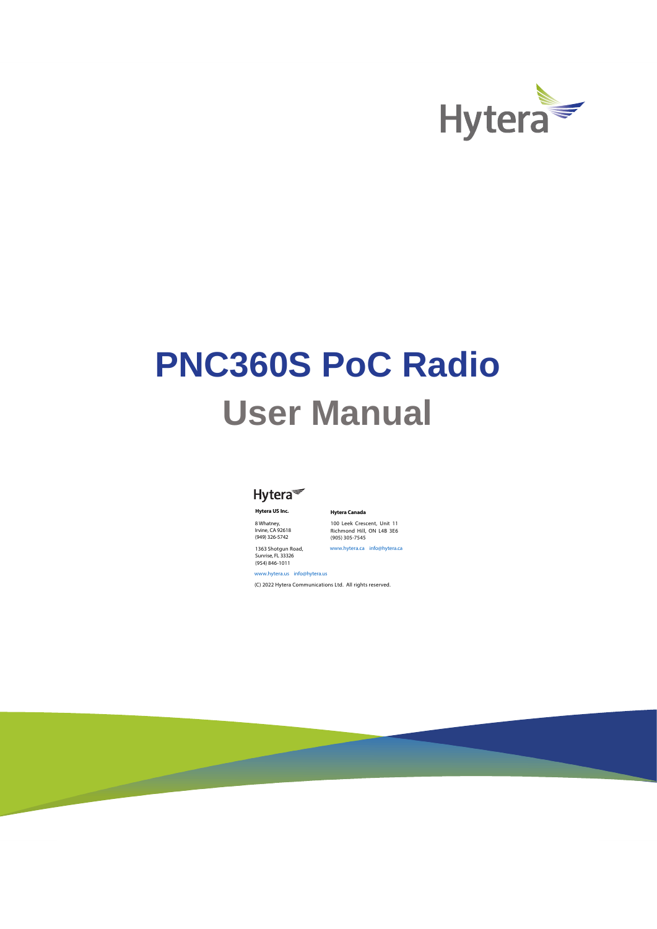

# **PNC360S PoC Radio User Manual**



**Hytera US Inc.** 

8 Whatney, Irvine, CA 92618 (949) 326-5742

100 Leek Crescent, Unit 11 Richmond Hill, ON L4B 3E6 (905) 305-7545 www.hytera.ca info@hytera.ca

**Hytera Canada** 

1363 Shotgun Road, Sunrise, FL 33326 (954) 846-1011

www.hytera.us info@hytera.us (C) 2022 Hytera Communications Ltd. All rights reserved.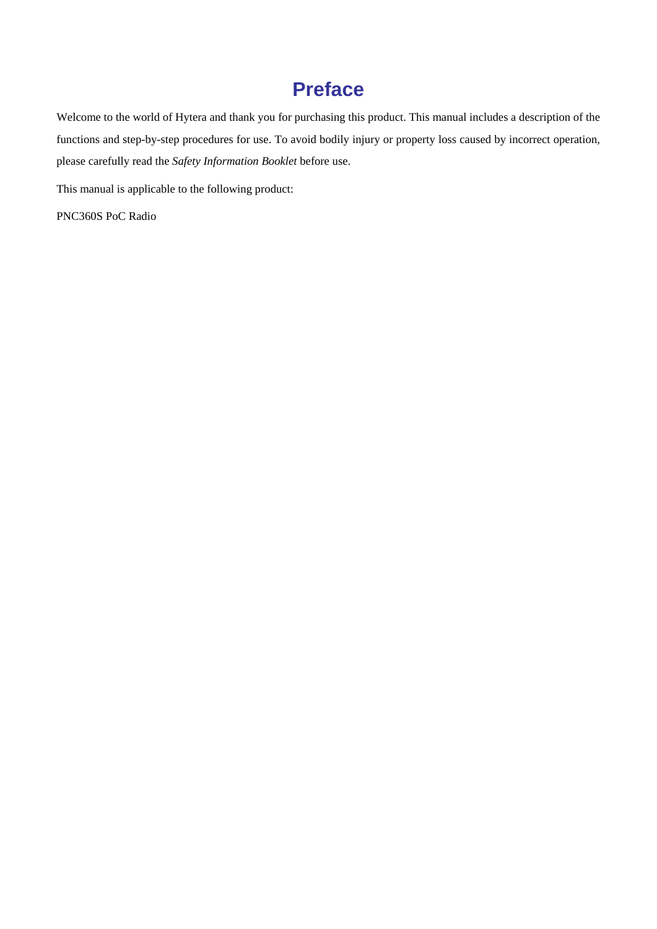## **Preface**

Welcome to the world of Hytera and thank you for purchasing this product. This manual includes a description of the functions and step-by-step procedures for use. To avoid bodily injury or property loss caused by incorrect operation, please carefully read the *Safety Information Booklet* before use.

This manual is applicable to the following product:

PNC360S PoC Radio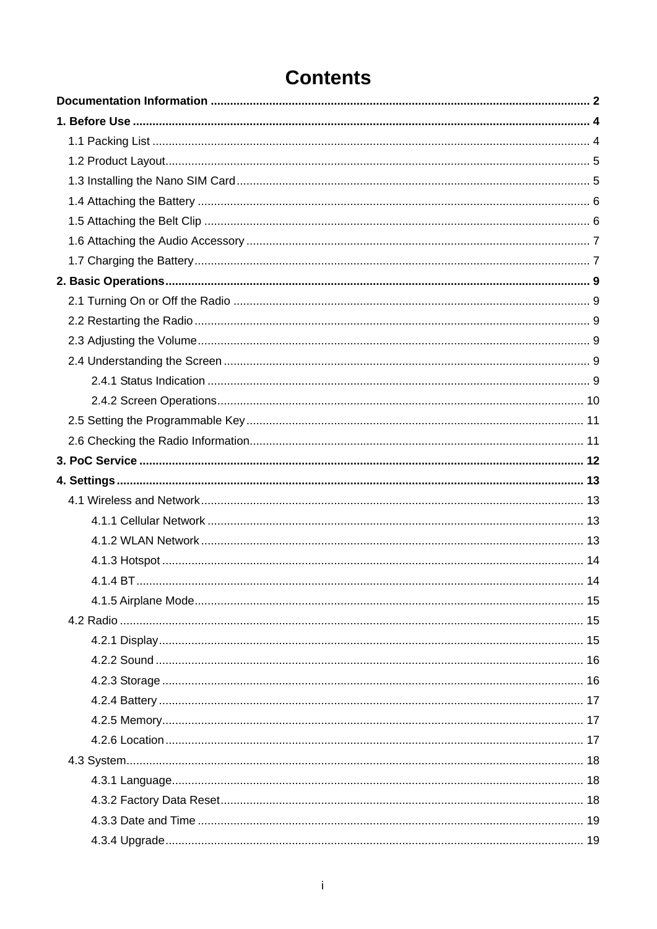## **Contents**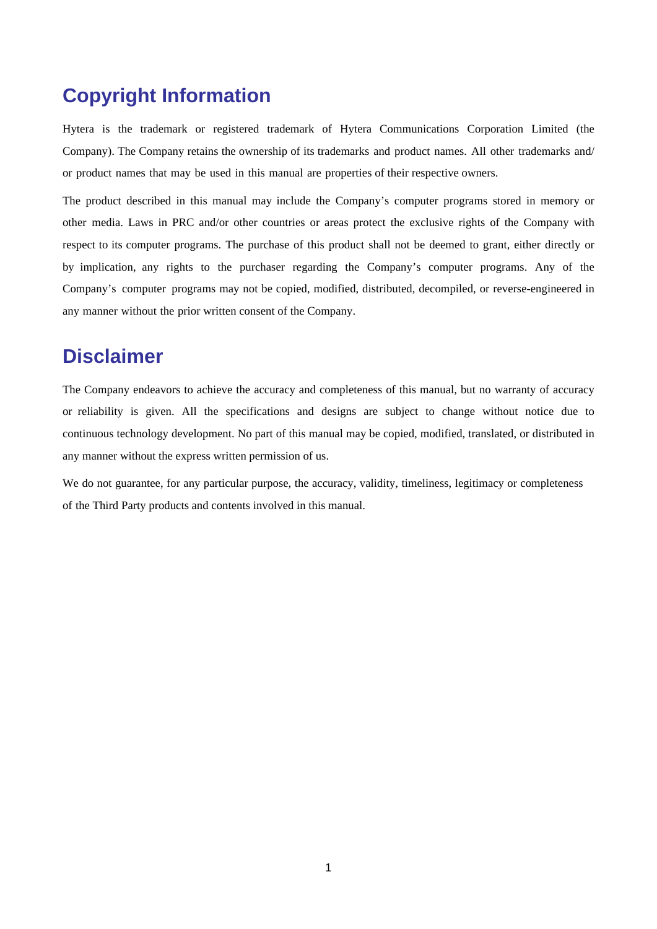### **Copyright Information**

Hytera is the trademark or registered trademark of Hytera Communications Corporation Limited (the Company). The Company retains the ownership of its trademarks and product names. All other trademarks and/ or product names that may be used in this manual are properties of their respective owners.

The product described in this manual may include the Company's computer programs stored in memory or other media. Laws in PRC and/or other countries or areas protect the exclusive rights of the Company with respect to its computer programs. The purchase of this product shall not be deemed to grant, either directly or by implication, any rights to the purchaser regarding the Company's computer programs. Any of the Company's computer programs may not be copied, modified, distributed, decompiled, or reverse-engineered in any manner without the prior written consent of the Company.

#### **Disclaimer**

The Company endeavors to achieve the accuracy and completeness of this manual, but no warranty of accuracy or reliability is given. All the specifications and designs are subject to change without notice due to continuous technology development. No part of this manual may be copied, modified, translated, or distributed in any manner without the express written permission of us.

We do not guarantee, for any particular purpose, the accuracy, validity, timeliness, legitimacy or completeness of the Third Party products and contents involved in this manual.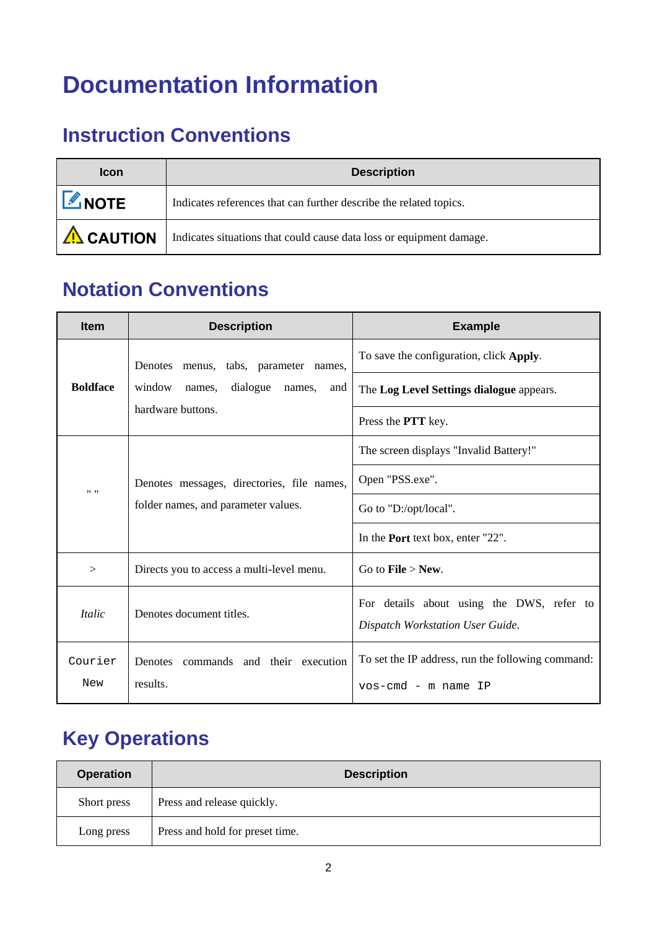## <span id="page-5-0"></span>**Documentation Information**

## **Instruction Conventions**

| <b>Icon</b>        | <b>Description</b>                                                   |  |
|--------------------|----------------------------------------------------------------------|--|
| <b>L</b> NOTE      | Indicates references that can further describe the related topics.   |  |
| $\sqrt{N}$ CAUTION | Indicates situations that could cause data loss or equipment damage. |  |

## **Notation Conventions**

| <b>Item</b>                                                                           | <b>Description</b>                                                                | <b>Example</b>                                                                |
|---------------------------------------------------------------------------------------|-----------------------------------------------------------------------------------|-------------------------------------------------------------------------------|
| Denotes menus, tabs, parameter names,                                                 |                                                                                   | To save the configuration, click Apply.                                       |
| <b>Boldface</b><br>window<br>dialogue<br>names,<br>names.<br>and<br>hardware buttons. |                                                                                   | The Log Level Settings dialogue appears.                                      |
|                                                                                       | Press the <b>PTT</b> key.                                                         |                                                                               |
|                                                                                       |                                                                                   | The screen displays "Invalid Battery!"                                        |
| $11 - 11$                                                                             | Denotes messages, directories, file names,<br>folder names, and parameter values. | Open "PSS.exe".                                                               |
|                                                                                       |                                                                                   | Go to "D:/opt/local".                                                         |
|                                                                                       |                                                                                   | In the <b>Port</b> text box, enter "22".                                      |
| $\geq$                                                                                | Directs you to access a multi-level menu.                                         | Go to <b>File</b> $>$ <b>New.</b>                                             |
| <i>Italic</i>                                                                         | Denotes document titles.                                                          | For details about using the DWS, refer to<br>Dispatch Workstation User Guide. |
| Courier                                                                               | Denotes commands and their execution                                              | To set the IP address, run the following command:                             |
| New                                                                                   | results.                                                                          | vos-cmd – m name IP                                                           |

## **Key Operations**

| <b>Operation</b> | <b>Description</b>              |  |
|------------------|---------------------------------|--|
| Short press      | Press and release quickly.      |  |
| Long press       | Press and hold for preset time. |  |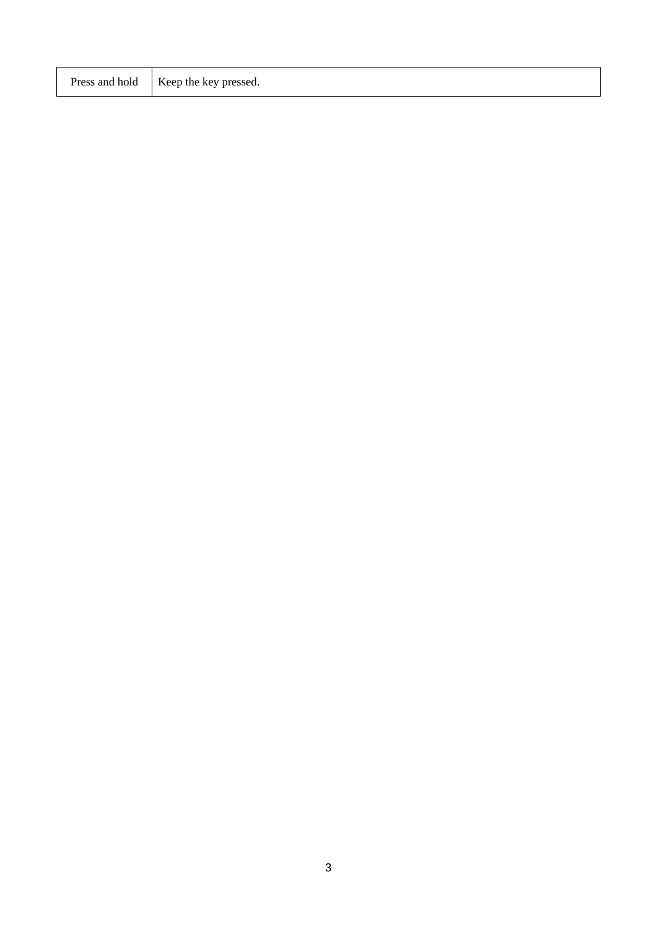| Press and hold   Keep the key pressed. |
|----------------------------------------|
|                                        |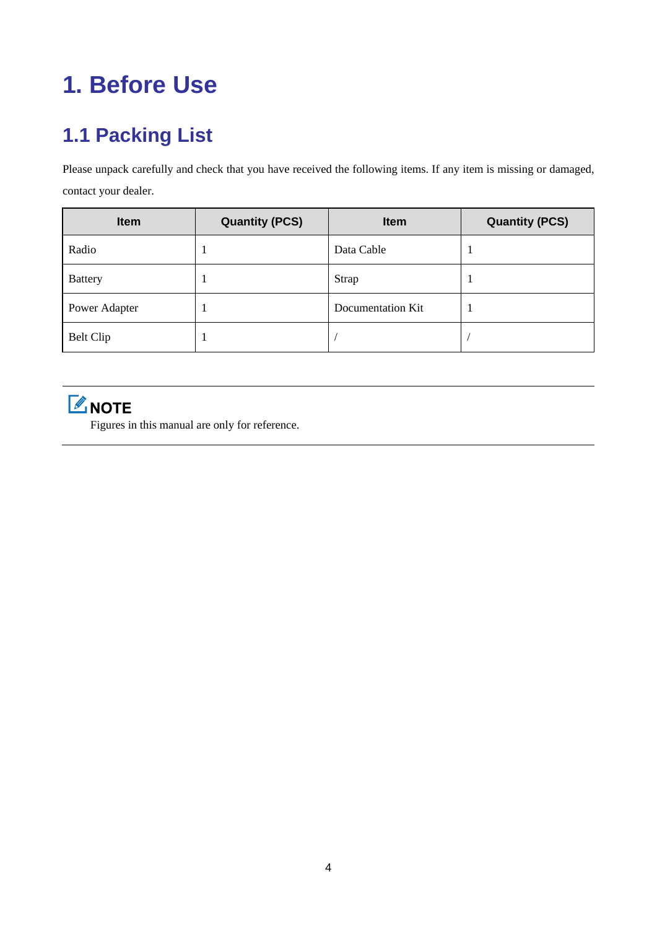## <span id="page-7-0"></span>**1. Before Use**

## <span id="page-7-1"></span>**1.1 Packing List**

Please unpack carefully and check that you have received the following items. If any item is missing or damaged, contact your dealer.

| <b>Item</b>      | <b>Quantity (PCS)</b> | <b>Item</b>       | <b>Quantity (PCS)</b> |
|------------------|-----------------------|-------------------|-----------------------|
| Radio            |                       | Data Cable        |                       |
| <b>Battery</b>   |                       | Strap             |                       |
| Power Adapter    |                       | Documentation Kit |                       |
| <b>Belt Clip</b> |                       |                   |                       |

MOTE

Figures in this manual are only for reference.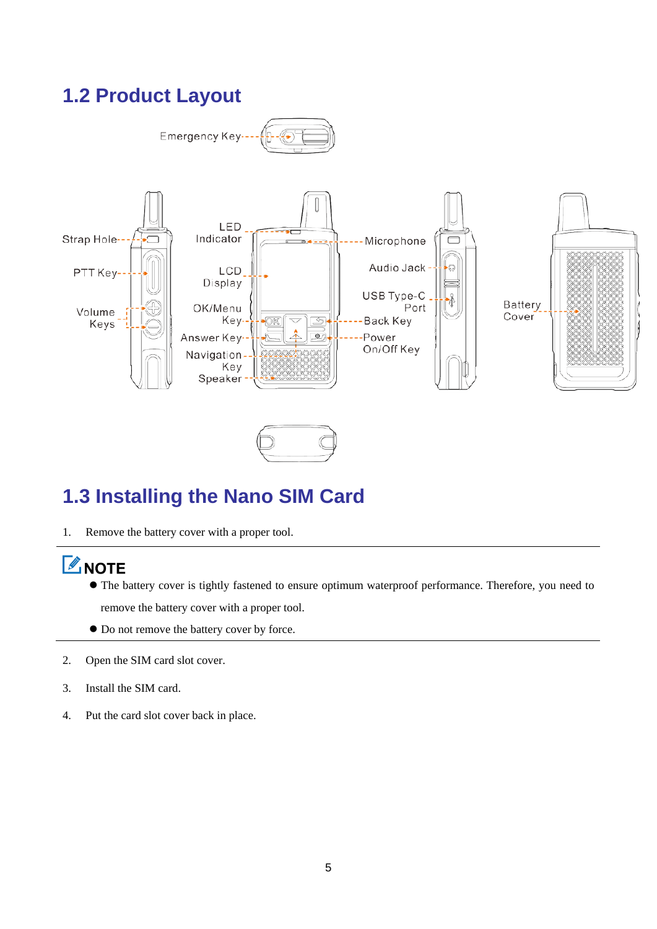## <span id="page-8-0"></span>**1.2 Product Layout**



## <span id="page-8-1"></span>**1.3 Installing the Nano SIM Card**

1. Remove the battery cover with a proper tool.

## **ZNOTE**

- The battery cover is tightly fastened to ensure optimum waterproof performance. Therefore, you need to remove the battery cover with a proper tool.
- Do not remove the battery cover by force.
- 2. Open the SIM card slot cover.
- 3. Install the SIM card.
- 4. Put the card slot cover back in place.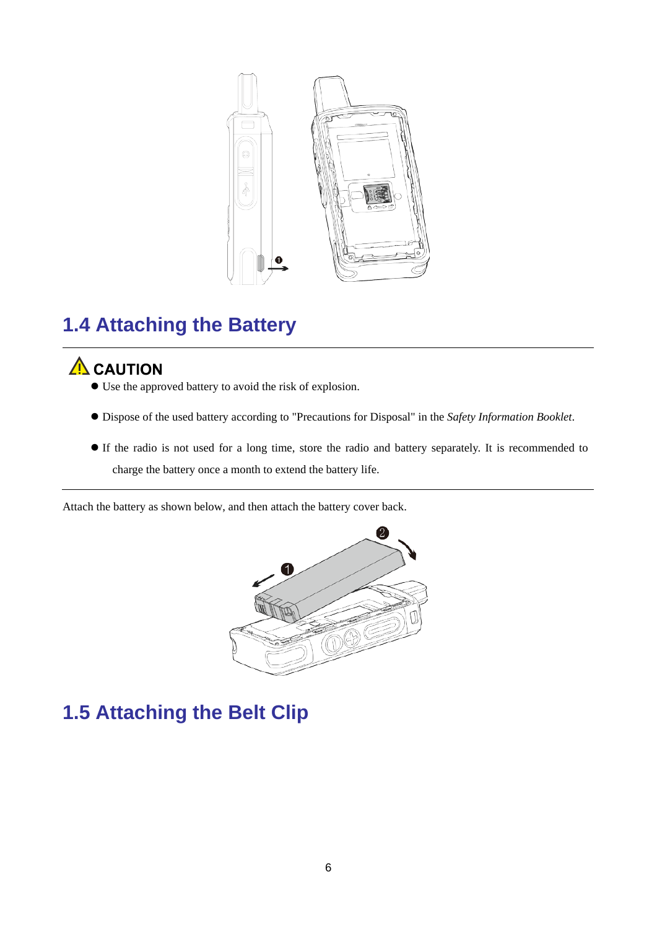

## <span id="page-9-0"></span>**1.4 Attaching the Battery**

## $\Lambda$  CAUTION

- Use the approved battery to avoid the risk of explosion.
- Dispose of the used battery according to "Precautions for Disposal" in the *Safety Information Booklet*.
- If the radio is not used for a long time, store the radio and battery separately. It is recommended to charge the battery once a month to extend the battery life.

Attach the battery as shown below, and then attach the battery cover back.



## <span id="page-9-1"></span>**1.5 Attaching the Belt Clip**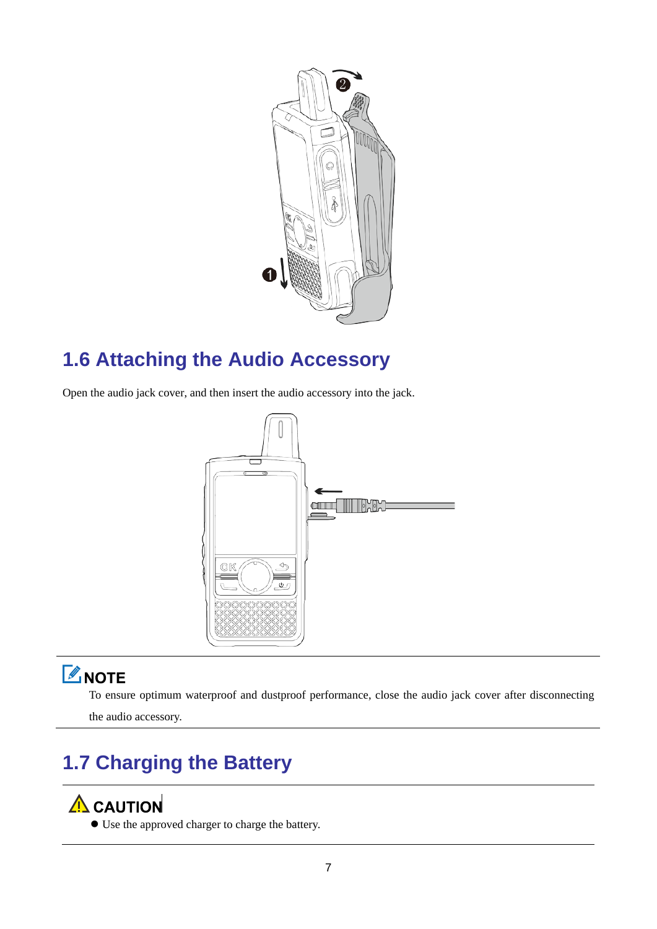

## <span id="page-10-0"></span>**1.6 Attaching the Audio Accessory**

Open the audio jack cover, and then insert the audio accessory into the jack.



## **Z** NOTE

To ensure optimum waterproof and dustproof performance, close the audio jack cover after disconnecting

the audio accessory.

## <span id="page-10-1"></span>**1.7 Charging the Battery**

## A CAUTION

Use the approved charger to charge the battery.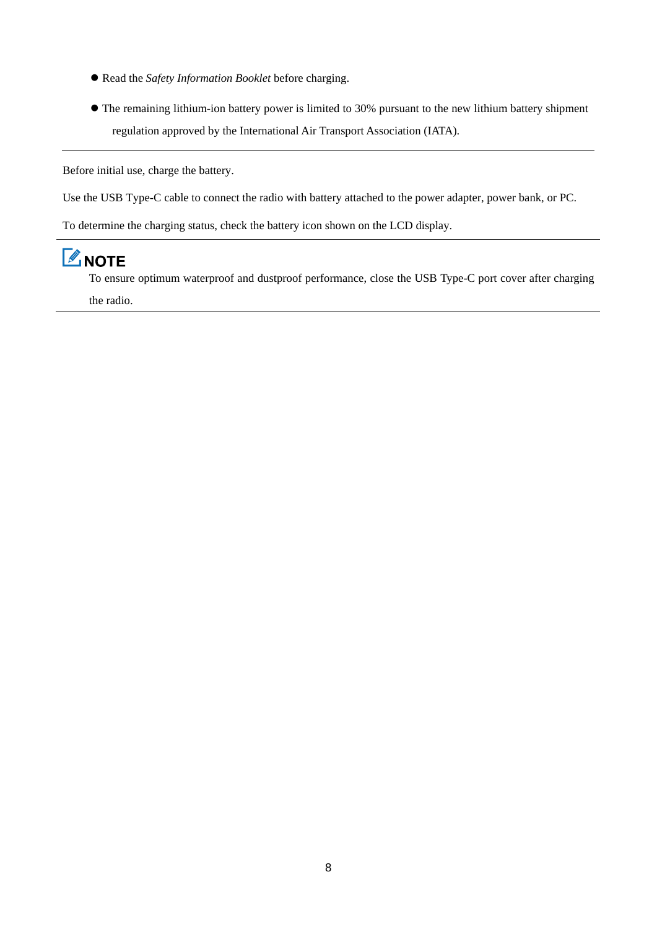- Read the *Safety Information Booklet* before charging.
- The remaining lithium-ion battery power is limited to 30% pursuant to the new lithium battery shipment regulation approved by the International Air Transport Association (IATA).

Before initial use, charge the battery.

Use the USB Type-C cable to connect the radio with battery attached to the power adapter, power bank, or PC.

To determine the charging status, check the battery icon shown on the LCD display.

## **ZNOTE**

To ensure optimum waterproof and dustproof performance, close the USB Type-C port cover after charging the radio.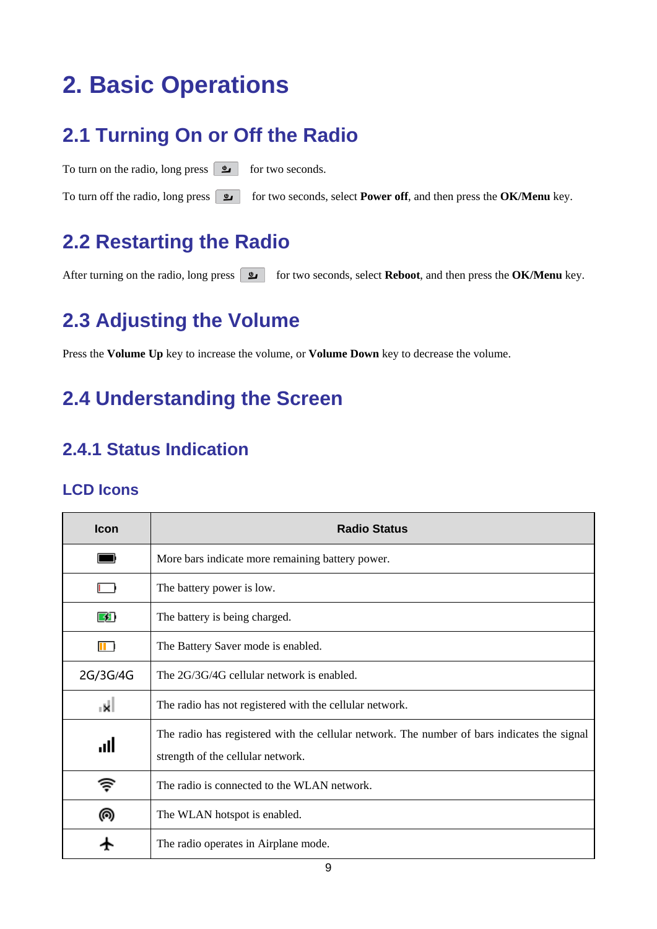## <span id="page-12-0"></span>**2. Basic Operations**

## <span id="page-12-1"></span>**2.1 Turning On or Off the Radio**

To turn on the radio, long press  $\boxed{\bullet}$  for two seconds. To turn off the radio, long press  $\boxed{\bullet}$  for two seconds, select **Power off**, and then press the **OK/Menu** key.

## <span id="page-12-2"></span>**2.2 Restarting the Radio**

After turning on the radio, long press **for two seconds, select Reboot**, and then press the **OK/Menu** key.

## <span id="page-12-3"></span>**2.3 Adjusting the Volume**

Press the **Volume Up** key to increase the volume, or **Volume Down** key to decrease the volume.

## <span id="page-12-4"></span>**2.4 Understanding the Screen**

### <span id="page-12-5"></span>**2.4.1 Status Indication**

#### **LCD Icons**

| <b>Icon</b> | <b>Radio Status</b>                                                                                                              |
|-------------|----------------------------------------------------------------------------------------------------------------------------------|
|             | More bars indicate more remaining battery power.                                                                                 |
|             | The battery power is low.                                                                                                        |
| 59          | The battery is being charged.                                                                                                    |
| 88 D        | The Battery Saver mode is enabled.                                                                                               |
| 2G/3G/4G    | The 2G/3G/4G cellular network is enabled.                                                                                        |
| ıkİ         | The radio has not registered with the cellular network.                                                                          |
| llı.        | The radio has registered with the cellular network. The number of bars indicates the signal<br>strength of the cellular network. |
| <b>きょう</b>  | The radio is connected to the WLAN network.                                                                                      |
| ൫           | The WLAN hotspot is enabled.                                                                                                     |
|             | The radio operates in Airplane mode.                                                                                             |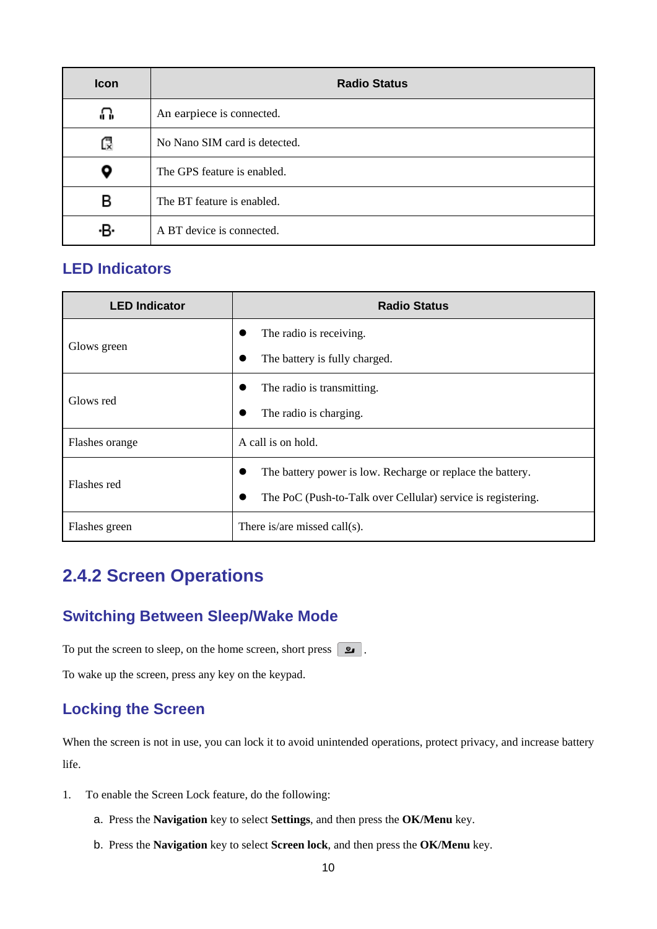| Icon | <b>Radio Status</b>           |
|------|-------------------------------|
| ∩    | An earpiece is connected.     |
| Q    | No Nano SIM card is detected. |
| Q    | The GPS feature is enabled.   |
| в    | The BT feature is enabled.    |
| ۰B۰  | A BT device is connected.     |

#### **LED Indicators**

| <b>LED Indicator</b> | <b>Radio Status</b>                                          |  |
|----------------------|--------------------------------------------------------------|--|
|                      | The radio is receiving.                                      |  |
| Glows green          | The battery is fully charged.<br>$\bullet$                   |  |
| Glows red            | The radio is transmitting.<br>٠                              |  |
|                      | The radio is charging.                                       |  |
| Flashes orange       | A call is on hold.                                           |  |
| Flashes red          | The battery power is low. Recharge or replace the battery.   |  |
|                      | The PoC (Push-to-Talk over Cellular) service is registering. |  |
| Flashes green        | There is/are missed call(s).                                 |  |

### <span id="page-13-0"></span>**2.4.2 Screen Operations**

#### **Switching Between Sleep/Wake Mode**

To put the screen to sleep, on the home screen, short press  $\boxed{\bullet}$ .

To wake up the screen, press any key on the keypad.

#### **Locking the Screen**

When the screen is not in use, you can lock it to avoid unintended operations, protect privacy, and increase battery life.

- 1. To enable the Screen Lock feature, do the following:
	- a. Press the **Navigation** key to select **Settings**, and then press the **OK/Menu** key.
	- b. Press the **Navigation** key to select **Screen lock**, and then press the **OK/Menu** key.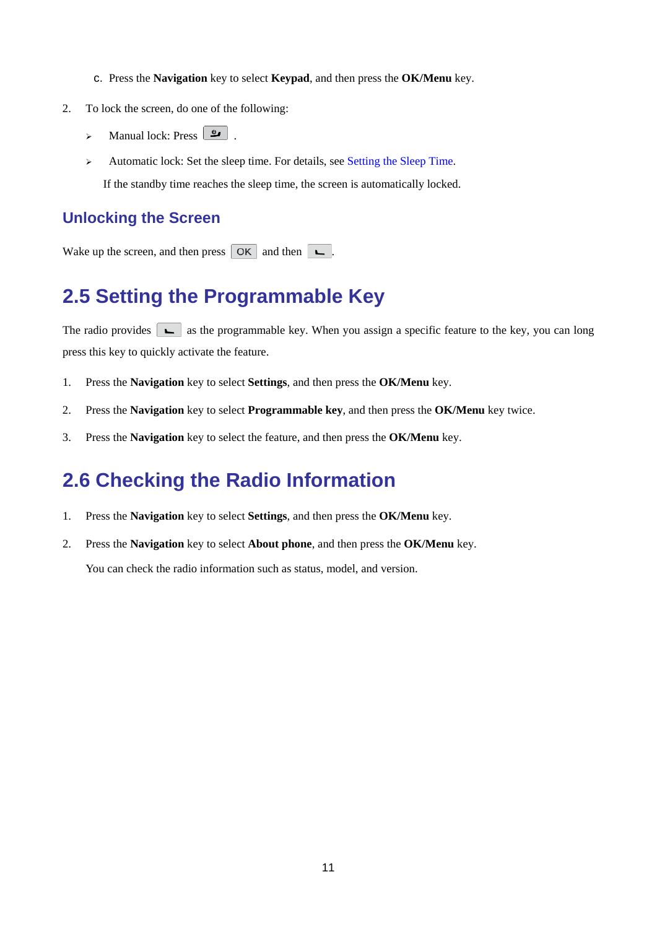- c. Press the **Navigation** key to select **Keypad**, and then press the **OK/Menu** key.
- 2. To lock the screen, do one of the following:
	- $\triangleright$  Manual lock: Press  $\boxed{\underline{\bullet}}$ .
	- Automatic lock: Set the sleep time. For details, see [Setting the Sleep Time.](#page-18-3) If the standby time reaches the sleep time, the screen is automatically locked.

#### **Unlocking the Screen**

Wake up the screen, and then press  $\boxed{OK}$  and then  $\boxed{\phantom{A}}$ .

### <span id="page-14-0"></span>**2.5 Setting the Programmable Key**

The radio provides  $\boxed{\leftarrow}$  as the programmable key. When you assign a specific feature to the key, you can long press this key to quickly activate the feature.

- 1. Press the **Navigation** key to select **Settings**, and then press the **OK/Menu** key.
- 2. Press the **Navigation** key to select **Programmable key**, and then press the **OK/Menu** key twice.
- 3. Press the **Navigation** key to select the feature, and then press the **OK/Menu** key.

### <span id="page-14-1"></span>**2.6 Checking the Radio Information**

- 1. Press the **Navigation** key to select **Settings**, and then press the **OK/Menu** key.
- 2. Press the **Navigation** key to select **About phone**, and then press the **OK/Menu** key.

You can check the radio information such as status, model, and version.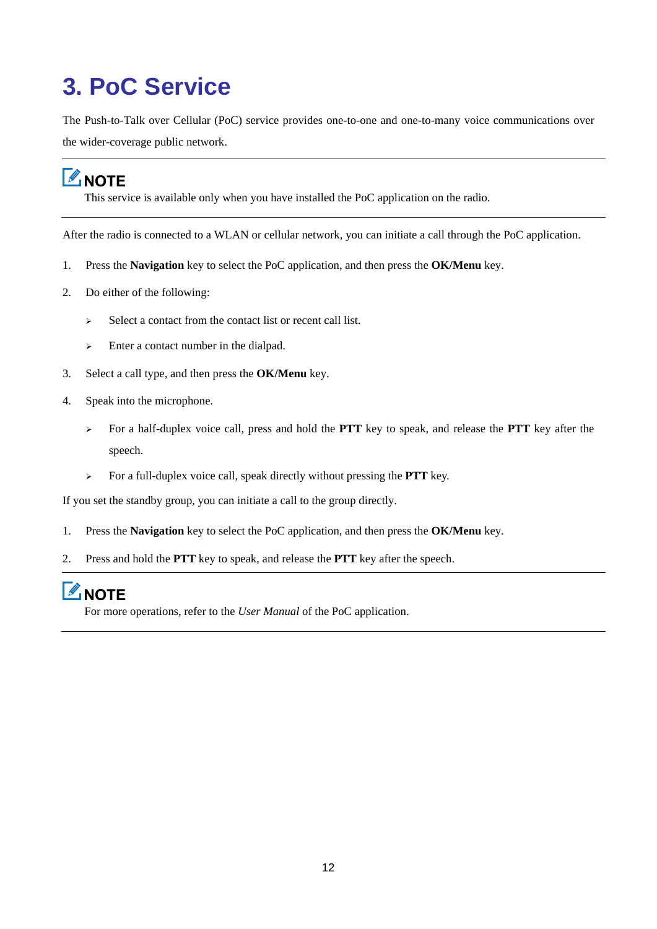## <span id="page-15-0"></span>**3. PoC Service**

The Push-to-Talk over Cellular (PoC) service provides one-to-one and one-to-many voice communications over the wider-coverage public network.

## **LANOTE**

This service is available only when you have installed the PoC application on the radio.

After the radio is connected to a WLAN or cellular network, you can initiate a call through the PoC application.

- 1. Press the **Navigation** key to select the PoC application, and then press the **OK/Menu** key.
- 2. Do either of the following:
	- $\triangleright$  Select a contact from the contact list or recent call list.
	- Enter a contact number in the dialpad.
- 3. Select a call type, and then press the **OK/Menu** key.
- 4. Speak into the microphone.
	- For a half-duplex voice call, press and hold the **PTT** key to speak, and release the **PTT** key after the speech.
	- For a full-duplex voice call, speak directly without pressing the **PTT** key.

If you set the standby group, you can initiate a call to the group directly.

- 1. Press the **Navigation** key to select the PoC application, and then press the **OK/Menu** key.
- 2. Press and hold the **PTT** key to speak, and release the **PTT** key after the speech.

## $\mathbb Z$ NOTE

For more operations, refer to the *User Manual* of the PoC application.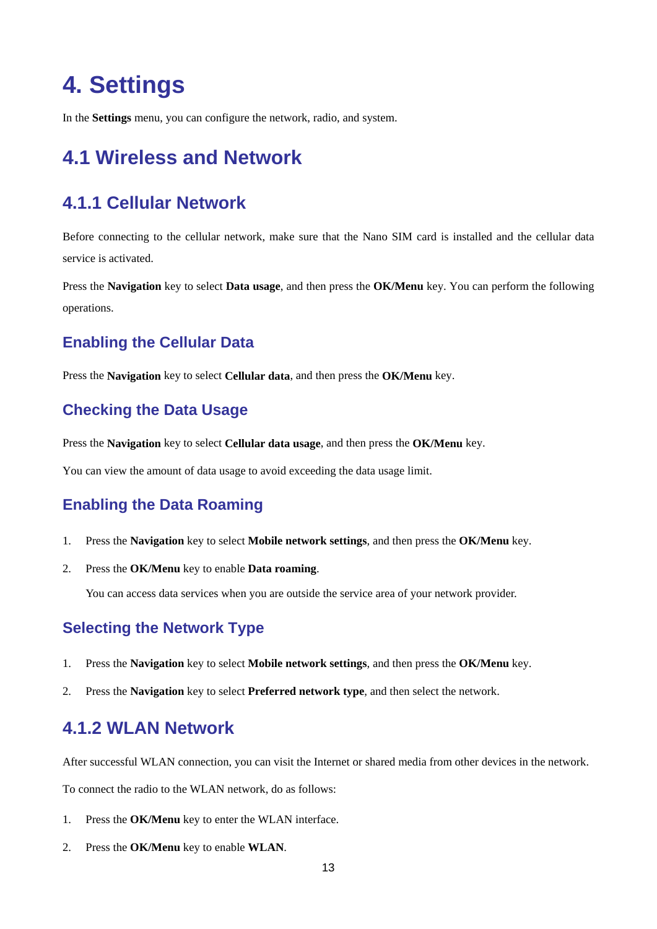## <span id="page-16-0"></span>**4. Settings**

In the **Settings** menu, you can configure the network, radio, and system.

## <span id="page-16-1"></span>**4.1 Wireless and Network**

### <span id="page-16-2"></span>**4.1.1 Cellular Network**

Before connecting to the cellular network, make sure that the Nano SIM card is installed and the cellular data service is activated.

Press the **Navigation** key to select **Data usage**, and then press the **OK/Menu** key. You can perform the following operations.

#### **Enabling the Cellular Data**

Press the **Navigation** key to select **Cellular data**, and then press the **OK/Menu** key.

#### **Checking the Data Usage**

Press the **Navigation** key to select **Cellular data usage**, and then press the **OK/Menu** key.

You can view the amount of data usage to avoid exceeding the data usage limit.

#### **Enabling the Data Roaming**

- 1. Press the **Navigation** key to select **Mobile network settings**, and then press the **OK/Menu** key.
- 2. Press the **OK/Menu** key to enable **Data roaming**.

You can access data services when you are outside the service area of your network provider.

#### **Selecting the Network Type**

- 1. Press the **Navigation** key to select **Mobile network settings**, and then press the **OK/Menu** key.
- 2. Press the **Navigation** key to select **Preferred network type**, and then select the network.

#### <span id="page-16-3"></span>**4.1.2 WLAN Network**

After successful WLAN connection, you can visit the Internet or shared media from other devices in the network.

To connect the radio to the WLAN network, do as follows:

- 1. Press the **OK/Menu** key to enter the WLAN interface.
- 2. Press the **OK/Menu** key to enable **WLAN**.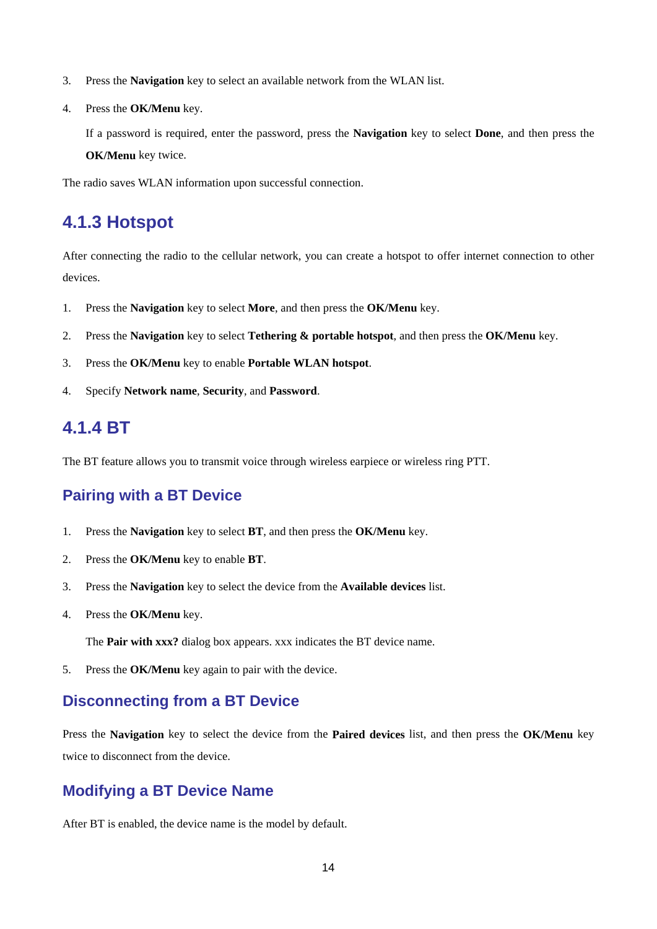- 3. Press the **Navigation** key to select an available network from the WLAN list.
- 4. Press the **OK/Menu** key.

If a password is required, enter the password, press the **Navigation** key to select **Done**, and then press the **OK/Menu** key twice.

The radio saves WLAN information upon successful connection.

#### <span id="page-17-0"></span>**4.1.3 Hotspot**

After connecting the radio to the cellular network, you can create a hotspot to offer internet connection to other devices.

- 1. Press the **Navigation** key to select **More**, and then press the **OK/Menu** key.
- 2. Press the **Navigation** key to select **Tethering & portable hotspot**, and then press the **OK/Menu** key.
- 3. Press the **OK/Menu** key to enable **Portable WLAN hotspot**.
- 4. Specify **Network name**, **Security**, and **Password**.

#### <span id="page-17-1"></span>**4.1.4 BT**

The BT feature allows you to transmit voice through wireless earpiece or wireless ring PTT.

#### **Pairing with a BT Device**

- 1. Press the **Navigation** key to select **BT**, and then press the **OK/Menu** key.
- 2. Press the **OK/Menu** key to enable **BT**.
- 3. Press the **Navigation** key to select the device from the **Available devices** list.
- 4. Press the **OK/Menu** key.

The **Pair with xxx?** dialog box appears. xxx indicates the BT device name.

5. Press the **OK/Menu** key again to pair with the device.

#### **Disconnecting from a BT Device**

Press the **Navigation** key to select the device from the **Paired devices** list, and then press the **OK/Menu** key twice to disconnect from the device.

#### **Modifying a BT Device Name**

After BT is enabled, the device name is the model by default.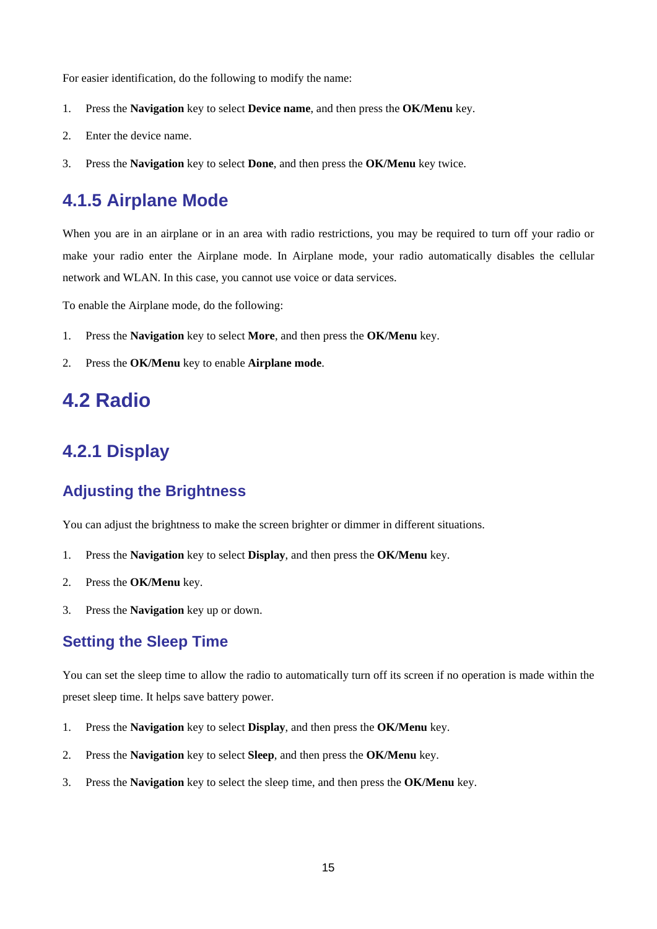For easier identification, do the following to modify the name:

- 1. Press the **Navigation** key to select **Device name**, and then press the **OK/Menu** key.
- 2. Enter the device name.
- 3. Press the **Navigation** key to select **Done**, and then press the **OK/Menu** key twice.

#### <span id="page-18-0"></span>**4.1.5 Airplane Mode**

When you are in an airplane or in an area with radio restrictions, you may be required to turn off your radio or make your radio enter the Airplane mode. In Airplane mode, your radio automatically disables the cellular network and WLAN. In this case, you cannot use voice or data services.

To enable the Airplane mode, do the following:

- 1. Press the **Navigation** key to select **More**, and then press the **OK/Menu** key.
- 2. Press the **OK/Menu** key to enable **Airplane mode**.

### <span id="page-18-1"></span>**4.2 Radio**

#### <span id="page-18-2"></span>**4.2.1 Display**

#### **Adjusting the Brightness**

You can adjust the brightness to make the screen brighter or dimmer in different situations.

- 1. Press the **Navigation** key to select **Display**, and then press the **OK/Menu** key.
- 2. Press the **OK/Menu** key.
- 3. Press the **Navigation** key up or down.

#### <span id="page-18-3"></span>**Setting the Sleep Time**

You can set the sleep time to allow the radio to automatically turn off its screen if no operation is made within the preset sleep time. It helps save battery power.

- 1. Press the **Navigation** key to select **Display**, and then press the **OK/Menu** key.
- 2. Press the **Navigation** key to select **Sleep**, and then press the **OK/Menu** key.
- 3. Press the **Navigation** key to select the sleep time, and then press the **OK/Menu** key.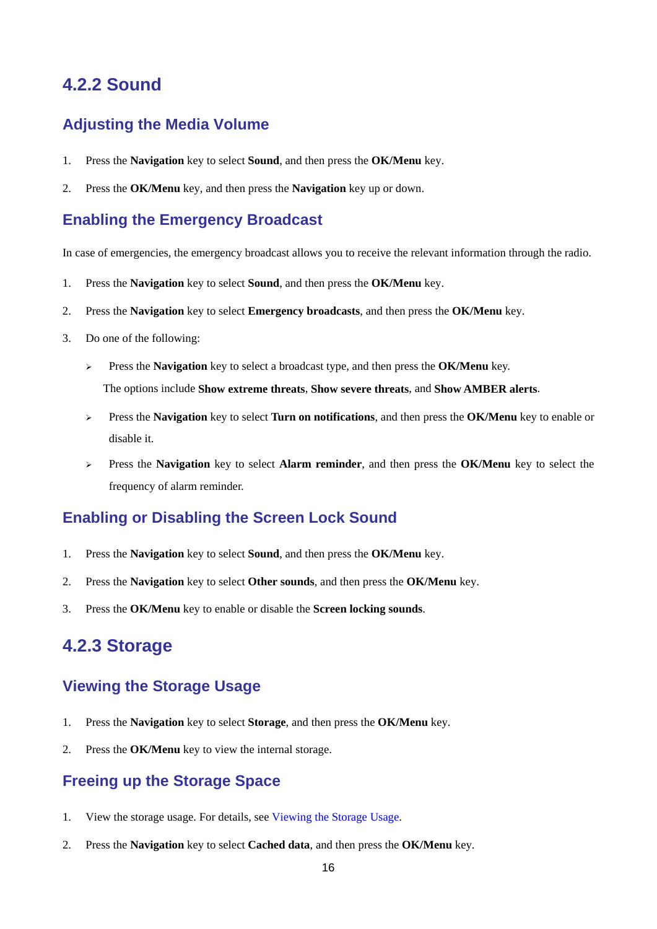#### <span id="page-19-0"></span>**4.2.2 Sound**

#### **Adjusting the Media Volume**

- 1. Press the **Navigation** key to select **Sound**, and then press the **OK/Menu** key.
- 2. Press the **OK/Menu** key, and then press the **Navigation** key up or down.

#### **Enabling the Emergency Broadcast**

In case of emergencies, the emergency broadcast allows you to receive the relevant information through the radio.

- 1. Press the **Navigation** key to select **Sound**, and then press the **OK/Menu** key.
- 2. Press the **Navigation** key to select **Emergency broadcasts**, and then press the **OK/Menu** key.
- 3. Do one of the following:
	- Press the **Navigation** key to select a broadcast type, and then press the **OK/Menu** key. The options include **Show extreme threats**, **Show severe threats**, and **Show AMBER alerts**.
	- Press the **Navigation** key to select **Turn on notifications**, and then press the **OK/Menu** key to enable or disable it.
	- Press the **Navigation** key to select **Alarm reminder**, and then press the **OK/Menu** key to select the frequency of alarm reminder.

#### **Enabling or Disabling the Screen Lock Sound**

- 1. Press the **Navigation** key to select **Sound**, and then press the **OK/Menu** key.
- 2. Press the **Navigation** key to select **Other sounds**, and then press the **OK/Menu** key.
- 3. Press the **OK/Menu** key to enable or disable the **Screen locking sounds**.

#### <span id="page-19-1"></span>**4.2.3 Storage**

#### <span id="page-19-2"></span>**Viewing the Storage Usage**

- 1. Press the **Navigation** key to select **Storage**, and then press the **OK/Menu** key.
- 2. Press the **OK/Menu** key to view the internal storage.

#### **Freeing up the Storage Space**

- 1. View the storage usage. For details, see [Viewing the Storage Usage.](#page-19-2)
- 2. Press the **Navigation** key to select **Cached data**, and then press the **OK/Menu** key.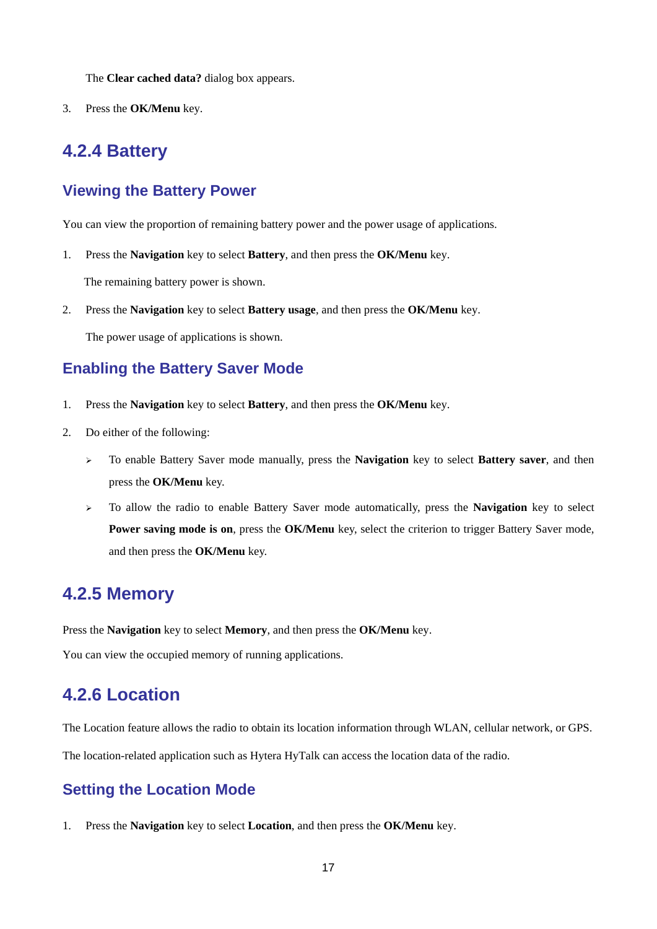The **Clear cached data?** dialog box appears.

<span id="page-20-0"></span>3. Press the **OK/Menu** key.

#### **4.2.4 Battery**

#### **Viewing the Battery Power**

You can view the proportion of remaining battery power and the power usage of applications.

1. Press the **Navigation** key to select **Battery**, and then press the **OK/Menu** key.

The remaining battery power is shown.

2. Press the **Navigation** key to select **Battery usage**, and then press the **OK/Menu** key.

The power usage of applications is shown.

#### **Enabling the Battery Saver Mode**

- 1. Press the **Navigation** key to select **Battery**, and then press the **OK/Menu** key.
- 2. Do either of the following:
	- To enable Battery Saver mode manually, press the **Navigation** key to select **Battery saver**, and then press the **OK/Menu** key.
	- To allow the radio to enable Battery Saver mode automatically, press the **Navigation** key to select **Power saving mode is on**, press the **OK/Menu** key, select the criterion to trigger Battery Saver mode, and then press the **OK/Menu** key.

#### <span id="page-20-1"></span>**4.2.5 Memory**

Press the **Navigation** key to select **Memory**, and then press the **OK/Menu** key.

You can view the occupied memory of running applications.

#### <span id="page-20-2"></span>**4.2.6 Location**

The Location feature allows the radio to obtain its location information through WLAN, cellular network, or GPS.

The location-related application such as Hytera HyTalk can access the location data of the radio.

#### <span id="page-20-3"></span>**Setting the Location Mode**

1. Press the **Navigation** key to select **Location**, and then press the **OK/Menu** key.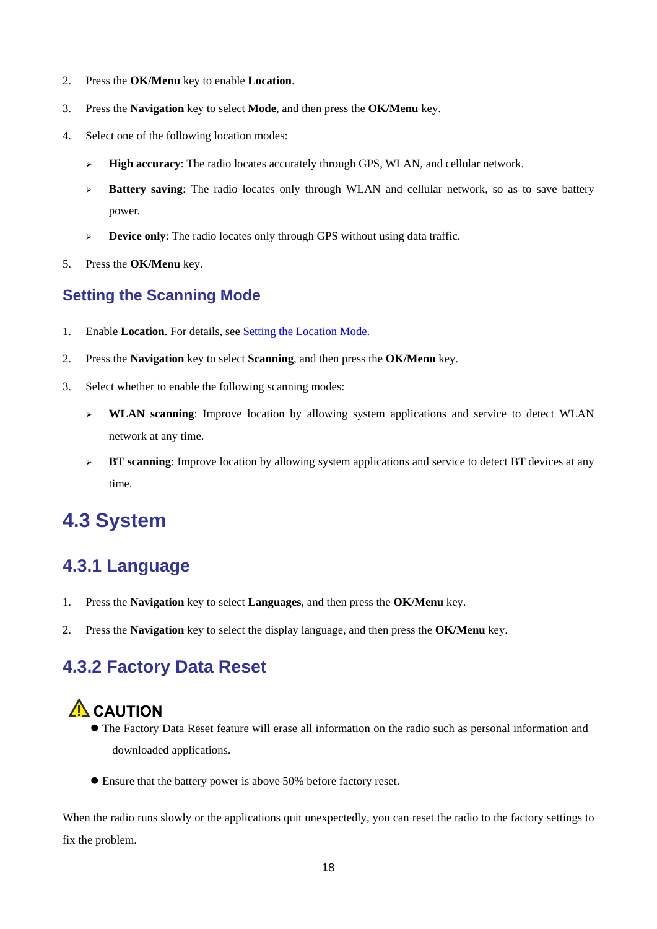- 2. Press the **OK/Menu** key to enable **Location**.
- 3. Press the **Navigation** key to select **Mode**, and then press the **OK/Menu** key.
- 4. Select one of the following location modes:
	- **High accuracy**: The radio locates accurately through GPS, WLAN, and cellular network.
	- **Battery saving:** The radio locates only through WLAN and cellular network, so as to save battery power.
	- **Device only:** The radio locates only through GPS without using data traffic.
- 5. Press the **OK/Menu** key.

#### **Setting the Scanning Mode**

- 1. Enable **Location**. For details, see [Setting the Location](#page-20-3) Mode.
- 2. Press the **Navigation** key to select **Scanning**, and then press the **OK/Menu** key.
- 3. Select whether to enable the following scanning modes:
	- **WLAN scanning**: Improve location by allowing system applications and service to detect WLAN network at any time.
	- **BT scanning**: Improve location by allowing system applications and service to detect BT devices at any time.

## <span id="page-21-0"></span>**4.3 System**

### <span id="page-21-1"></span>**4.3.1 Language**

- 1. Press the **Navigation** key to select **Languages**, and then press the **OK/Menu** key.
- 2. Press the **Navigation** key to select the display language, and then press the **OK/Menu** key.

### <span id="page-21-2"></span>**4.3.2 Factory Data Reset**

## A CAUTION

- The Factory Data Reset feature will erase all information on the radio such as personal information and downloaded applications.
- Ensure that the battery power is above 50% before factory reset.

When the radio runs slowly or the applications quit unexpectedly, you can reset the radio to the factory settings to fix the problem.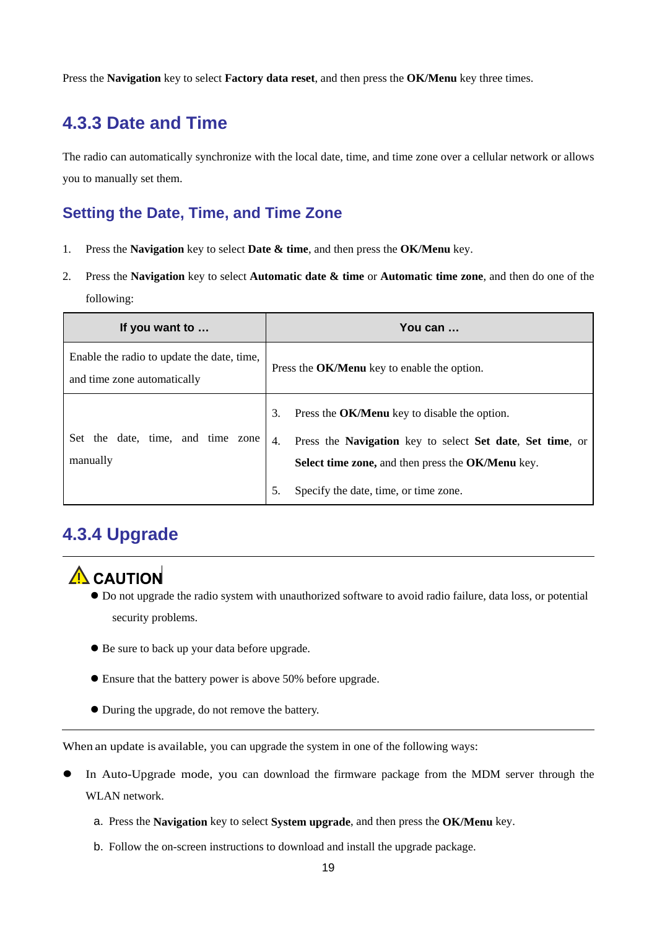Press the **Navigation** key to select **Factory data reset**, and then press the **OK/Menu** key three times.

#### <span id="page-22-0"></span>**4.3.3 Date and Time**

The radio can automatically synchronize with the local date, time, and time zone over a cellular network or allows you to manually set them.

#### **Setting the Date, Time, and Time Zone**

- 1. Press the **Navigation** key to select **Date & time**, and then press the **OK/Menu** key.
- 2. Press the **Navigation** key to select **Automatic date & time** or **Automatic time zone**, and then do one of the following:

| If you want to                                                            | You can                                                                                                               |  |
|---------------------------------------------------------------------------|-----------------------------------------------------------------------------------------------------------------------|--|
| Enable the radio to update the date, time,<br>and time zone automatically | Press the OK/Menu key to enable the option.                                                                           |  |
| the date, time, and time zone<br>Set                                      | Press the OK/Menu key to disable the option.<br>3.<br>Press the Navigation key to select Set date, Set time, or<br>4. |  |
| manually                                                                  | Select time zone, and then press the OK/Menu key.                                                                     |  |
|                                                                           | Specify the date, time, or time zone.<br>5.                                                                           |  |

#### <span id="page-22-1"></span>**4.3.4 Upgrade**

## $\Lambda$  CAUTION

- Do not upgrade the radio system with unauthorized software to avoid radio failure, data loss, or potential security problems.
- Be sure to back up your data before upgrade.
- Ensure that the battery power is above 50% before upgrade.
- During the upgrade, do not remove the battery.

When an update is available, you can upgrade the system in one of the following ways:

- In Auto-Upgrade mode, you can download the firmware package from the MDM server through the WLAN network.
	- a. Press the **Navigation** key to select **System upgrade**, and then press the **OK/Menu** key.
	- b. Follow the on-screen instructions to download and install the upgrade package.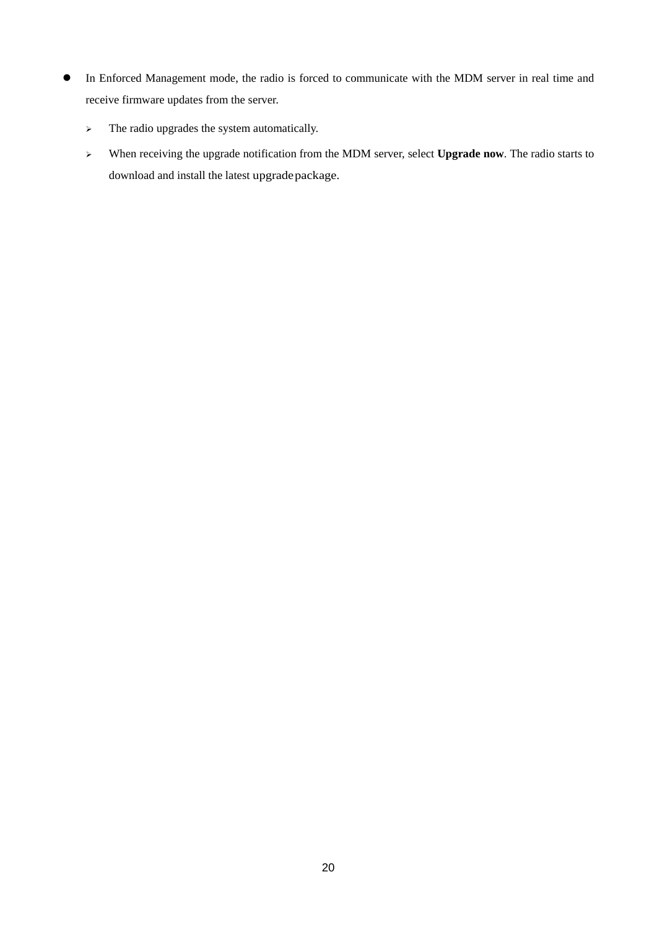- In Enforced Management mode, the radio is forced to communicate with the MDM server in real time and receive firmware updates from the server.
	- $\triangleright$  The radio upgrades the system automatically.
	- When receiving the upgrade notification from the MDM server, select **Upgrade now**. The radio starts to download and install the latest upgradepackage.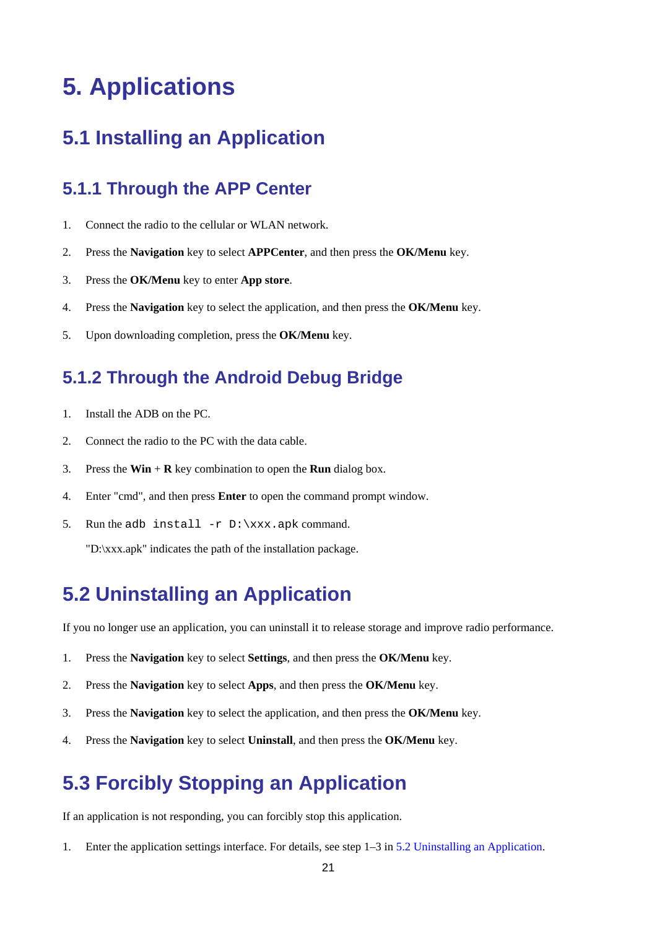## <span id="page-24-0"></span>**5. Applications**

### <span id="page-24-1"></span>**5.1 Installing an Application**

#### <span id="page-24-2"></span>**5.1.1 Through the APP Center**

- 1. Connect the radio to the cellular or WLAN network.
- 2. Press the **Navigation** key to select **APPCenter**, and then press the **OK/Menu** key.
- 3. Press the **OK/Menu** key to enter **App store**.
- 4. Press the **Navigation** key to select the application, and then press the **OK/Menu** key.
- <span id="page-24-3"></span>5. Upon downloading completion, press the **OK/Menu** key.

#### **5.1.2 Through the Android Debug Bridge**

- 1. Install the ADB on the PC.
- 2. Connect the radio to the PC with the data cable.
- 3. Press the **Win** + **R** key combination to open the **Run** dialog box.
- 4. Enter "cmd", and then press **Enter** to open the command prompt window.
- 5. Run the adb install  $-r$  D: \xxx.apk command.

"D:\xxx.apk" indicates the path of the installation package.

## <span id="page-24-6"></span><span id="page-24-4"></span>**5.2 Uninstalling an Application**

If you no longer use an application, you can uninstall it to release storage and improve radio performance.

- 1. Press the **Navigation** key to select **Settings**, and then press the **OK/Menu** key.
- 2. Press the **Navigation** key to select **Apps**, and then press the **OK/Menu** key.
- 3. Press the **Navigation** key to select the application, and then press the **OK/Menu** key.
- 4. Press the **Navigation** key to select **Uninstall**, and then press the **OK/Menu** key.

### <span id="page-24-5"></span>**5.3 Forcibly Stopping an Application**

If an application is not responding, you can forcibly stop this application.

1. Enter the application settings interface. For details, see step 1–3 in [5.2](#page-24-6) [Uninstalling an Application.](#page-24-6)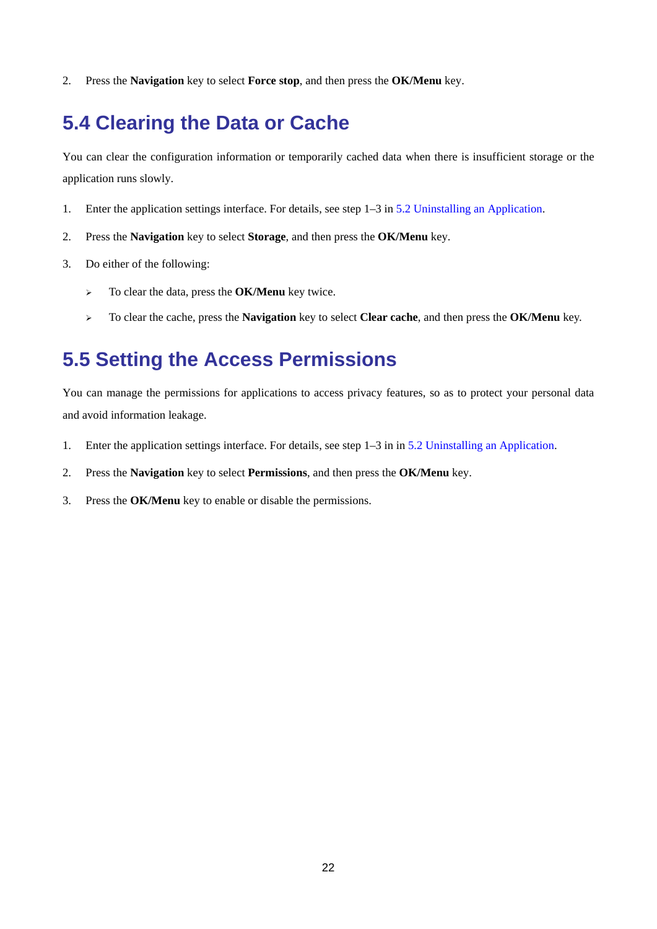2. Press the **Navigation** key to select **Force stop**, and then press the **OK/Menu** key.

### <span id="page-25-0"></span>**5.4 Clearing the Data or Cache**

You can clear the configuration information or temporarily cached data when there is insufficient storage or the application runs slowly.

- 1. Enter the application settings interface. For details, see step 1–3 in [5.2](#page-24-6) [Uninstalling an Application.](#page-24-6)
- 2. Press the **Navigation** key to select **Storage**, and then press the **OK/Menu** key.
- 3. Do either of the following:
	- To clear the data, press the **OK/Menu** key twice.
	- To clear the cache, press the **Navigation** key to select **Clear cache**, and then press the **OK/Menu** key.

## <span id="page-25-1"></span>**5.5 Setting the Access Permissions**

You can manage the permissions for applications to access privacy features, so as to protect your personal data and avoid information leakage.

- 1. Enter the application settings interface. For details, see step 1–3 in in [5.2](#page-24-6) [Uninstalling an Application.](#page-24-6)
- 2. Press the **Navigation** key to select **Permissions**, and then press the **OK/Menu** key.
- 3. Press the **OK/Menu** key to enable or disable the permissions.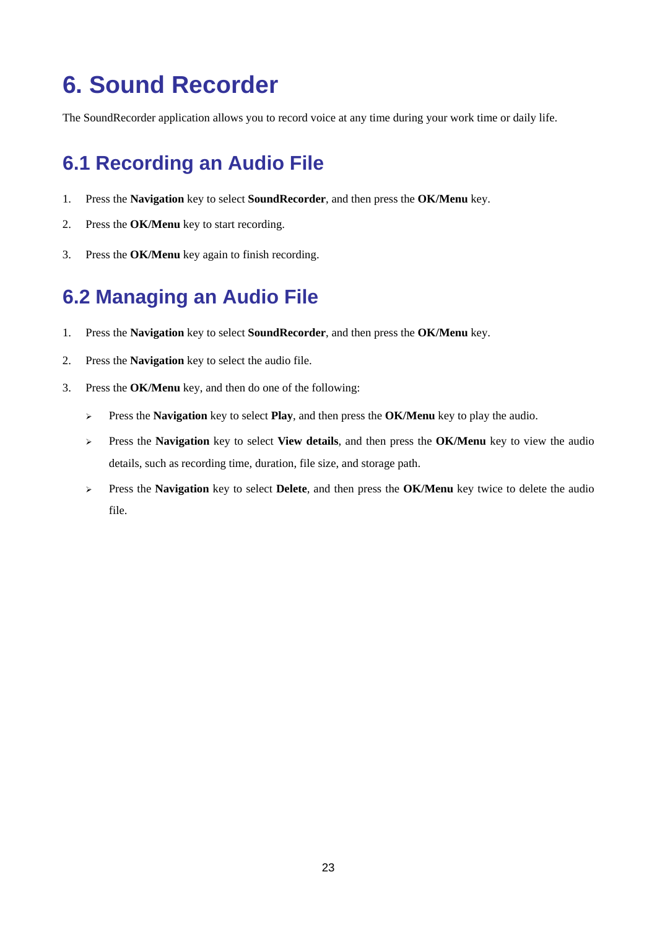## <span id="page-26-0"></span>**6. Sound Recorder**

The SoundRecorder application allows you to record voice at any time during your work time or daily life.

## <span id="page-26-1"></span>**6.1 Recording an Audio File**

- 1. Press the **Navigation** key to select **SoundRecorder**, and then press the **OK/Menu** key.
- 2. Press the **OK/Menu** key to start recording.
- 3. Press the **OK/Menu** key again to finish recording.

## <span id="page-26-2"></span>**6.2 Managing an Audio File**

- 1. Press the **Navigation** key to select **SoundRecorder**, and then press the **OK/Menu** key.
- 2. Press the **Navigation** key to select the audio file.
- 3. Press the **OK/Menu** key, and then do one of the following:
	- Press the **Navigation** key to select **Play**, and then press the **OK/Menu** key to play the audio.
	- Press the **Navigation** key to select **View details**, and then press the **OK/Menu** key to view the audio details, such as recording time, duration, file size, and storage path.
	- Press the **Navigation** key to select **Delete**, and then press the **OK/Menu** key twice to delete the audio file.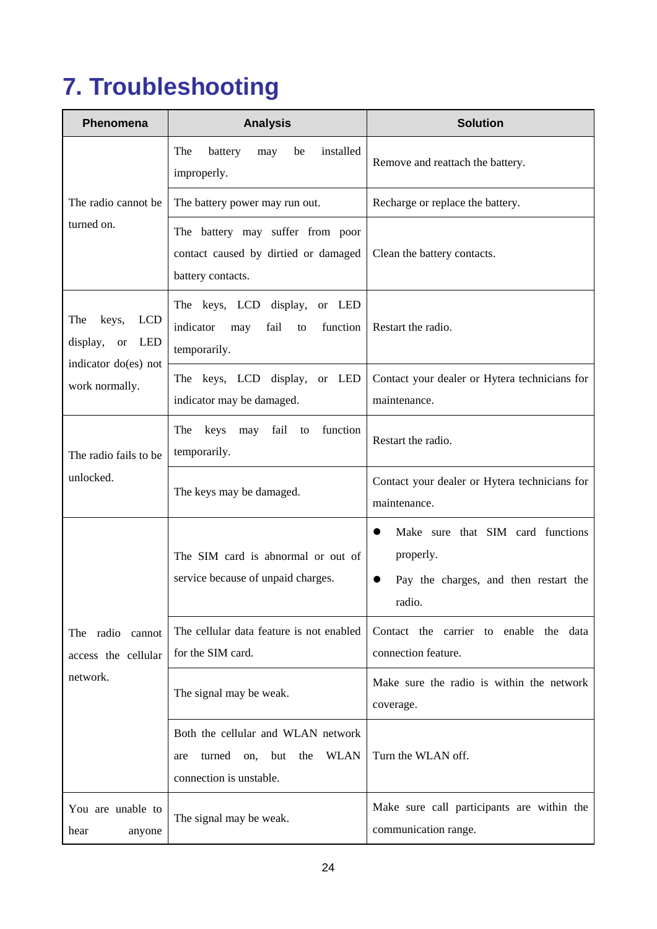## <span id="page-27-0"></span>**7. Troubleshooting**

| <b>Phenomena</b>                                                                                     | <b>Analysis</b>                                                                                                 | <b>Solution</b>                                                                                   |  |
|------------------------------------------------------------------------------------------------------|-----------------------------------------------------------------------------------------------------------------|---------------------------------------------------------------------------------------------------|--|
|                                                                                                      | The<br>battery<br>installed<br>be<br>may<br>improperly.                                                         | Remove and reattach the battery.                                                                  |  |
| The radio cannot be                                                                                  | The battery power may run out.                                                                                  | Recharge or replace the battery.                                                                  |  |
| turned on.                                                                                           | The battery may suffer from poor<br>contact caused by dirtied or damaged<br>battery contacts.                   | Clean the battery contacts.                                                                       |  |
| The<br>keys,<br><b>LCD</b><br>LED<br>display,<br><b>or</b><br>indicator do(es) not<br>work normally. | The keys, LCD display,<br>or LED<br>indicator<br>may<br>fail<br>function<br>to<br>temporarily.                  | Restart the radio.                                                                                |  |
|                                                                                                      | The keys, LCD display,<br>or LED<br>indicator may be damaged.                                                   | Contact your dealer or Hytera technicians for<br>maintenance.                                     |  |
| The radio fails to be<br>unlocked.                                                                   | fail to<br>keys may<br>function<br>The<br>temporarily.                                                          | Restart the radio.                                                                                |  |
|                                                                                                      | The keys may be damaged.                                                                                        | Contact your dealer or Hytera technicians for<br>maintenance.                                     |  |
| The radio<br>cannot<br>access the cellular<br>network.                                               | The SIM card is abnormal or out of<br>service because of unpaid charges.                                        | Make sure that SIM card functions<br>properly.<br>Pay the charges, and then restart the<br>radio. |  |
|                                                                                                      | The cellular data feature is not enabled<br>for the SIM card.                                                   | Contact the carrier to enable the data<br>connection feature.                                     |  |
|                                                                                                      | The signal may be weak.                                                                                         | Make sure the radio is within the network<br>coverage.                                            |  |
|                                                                                                      | Both the cellular and WLAN network<br><b>WLAN</b><br>but<br>the<br>turned on,<br>are<br>connection is unstable. | Turn the WLAN off.                                                                                |  |
| You are unable to<br>hear<br>anyone                                                                  | The signal may be weak.                                                                                         | Make sure call participants are within the<br>communication range.                                |  |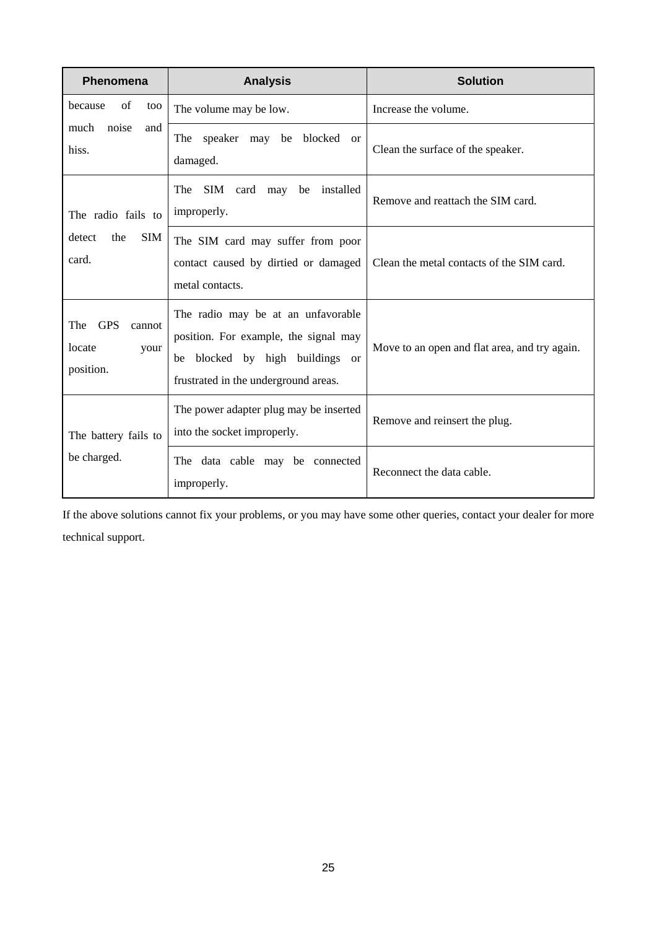| <b>Phenomena</b>                                           | <b>Analysis</b>                                                                                                                                           | <b>Solution</b>                               |
|------------------------------------------------------------|-----------------------------------------------------------------------------------------------------------------------------------------------------------|-----------------------------------------------|
| of<br>because<br>too<br>much<br>noise<br>and<br>hiss.      | The volume may be low.                                                                                                                                    | Increase the volume.                          |
|                                                            | The speaker may be blocked or<br>damaged.                                                                                                                 | Clean the surface of the speaker.             |
| The radio fails to<br><b>SIM</b><br>detect<br>the<br>card. | SIM card may<br>The<br>be<br>installed<br>improperly.                                                                                                     | Remove and reattach the SIM card.             |
|                                                            | The SIM card may suffer from poor<br>contact caused by dirtied or damaged<br>metal contacts.                                                              | Clean the metal contacts of the SIM card.     |
| <b>GPS</b><br>The<br>cannot<br>locate<br>your<br>position. | The radio may be at an unfavorable<br>position. For example, the signal may<br>blocked by high buildings or<br>be<br>frustrated in the underground areas. | Move to an open and flat area, and try again. |
| The battery fails to<br>be charged.                        | The power adapter plug may be inserted<br>into the socket improperly.                                                                                     | Remove and reinsert the plug.                 |
|                                                            | The data cable may be connected<br>improperly.                                                                                                            | Reconnect the data cable.                     |

If the above solutions cannot fix your problems, or you may have some other queries, contact your dealer for more technical support.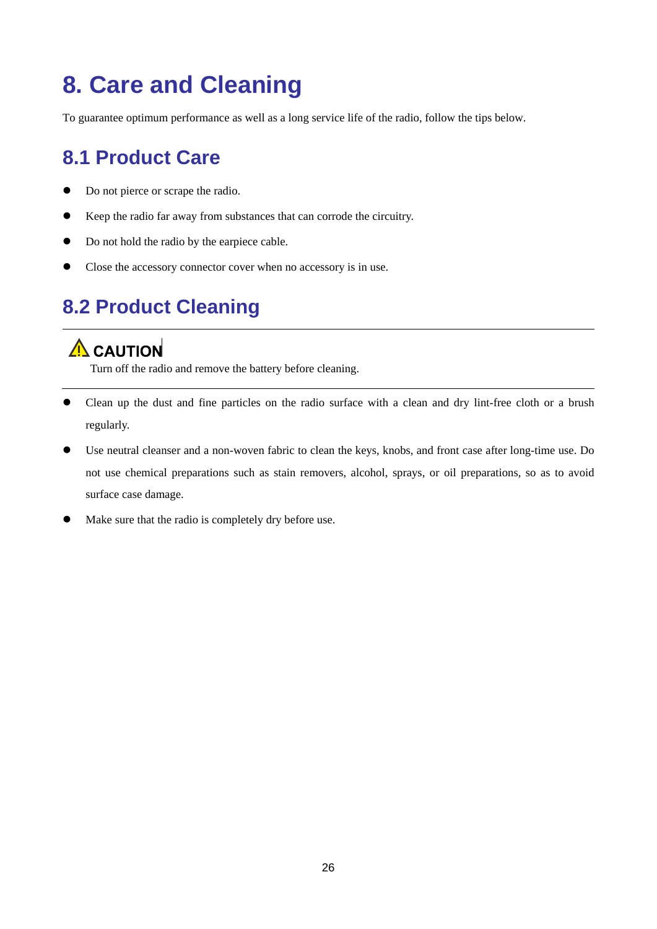## <span id="page-29-0"></span>**8. Care and Cleaning**

To guarantee optimum performance as well as a long service life of the radio, follow the tips below.

## <span id="page-29-1"></span>**8.1 Product Care**

- Do not pierce or scrape the radio.
- Keep the radio far away from substances that can corrode the circuitry.
- Do not hold the radio by the earpiece cable.
- Close the accessory connector cover when no accessory is in use.

## <span id="page-29-2"></span>**8.2 Product Cleaning**

### $\Lambda$  CAUTION

Turn off the radio and remove the battery before cleaning.

- Clean up the dust and fine particles on the radio surface with a clean and dry lint-free cloth or a brush regularly.
- Use neutral cleanser and a non-woven fabric to clean the keys, knobs, and front case after long-time use. Do not use chemical preparations such as stain removers, alcohol, sprays, or oil preparations, so as to avoid surface case damage.
- Make sure that the radio is completely dry before use.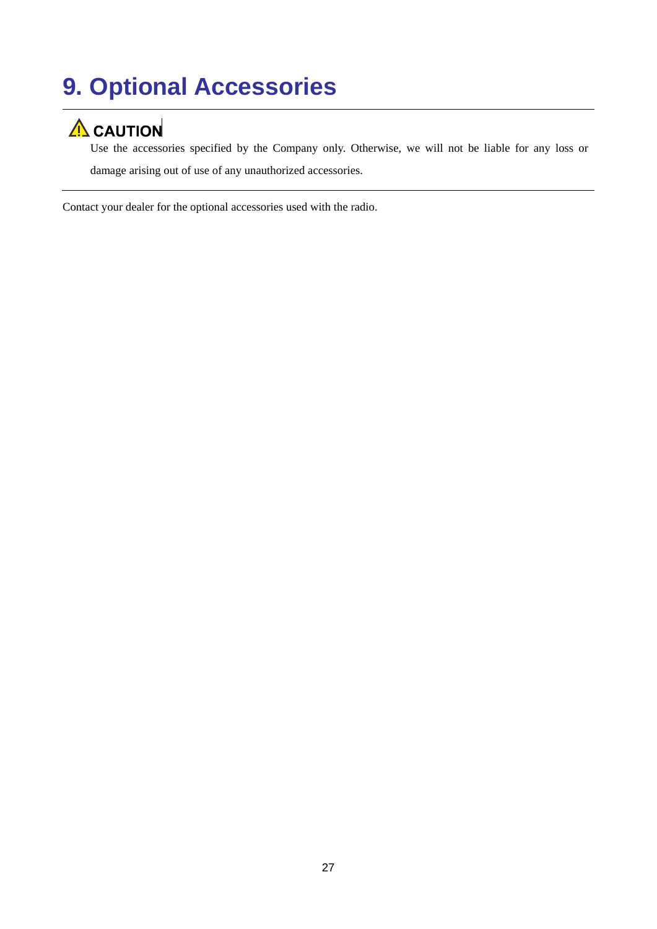## <span id="page-30-0"></span>**9. Optional Accessories**

## $\Lambda$  CAUTION

Use the accessories specified by the Company only. Otherwise, we will not be liable for any loss or damage arising out of use of any unauthorized accessories.

Contact your dealer for the optional accessories used with the radio.